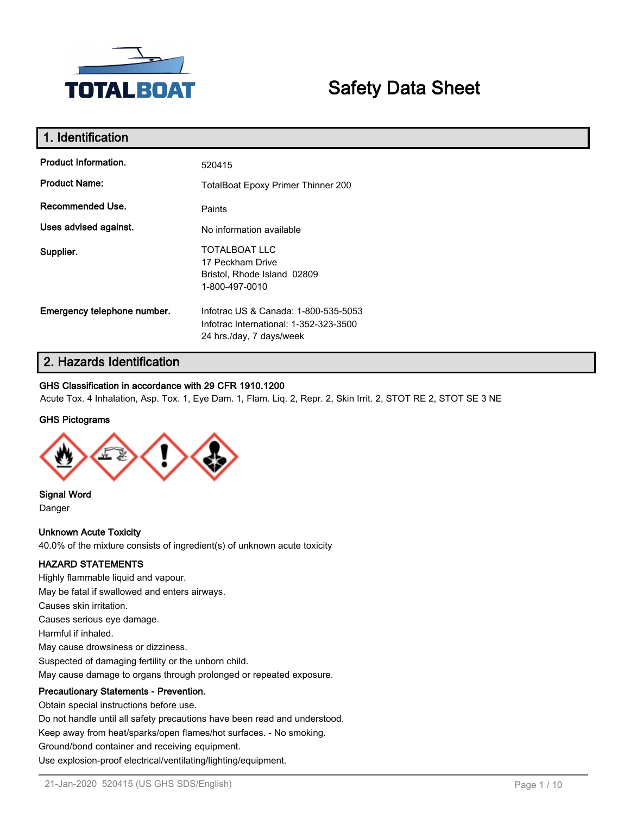

# **Safety Data Sheet**

| 1. Identification           |                                                                                                            |
|-----------------------------|------------------------------------------------------------------------------------------------------------|
| Product Information.        | 520415                                                                                                     |
| <b>Product Name:</b>        | <b>TotalBoat Epoxy Primer Thinner 200</b>                                                                  |
| Recommended Use.            | Paints                                                                                                     |
| Uses advised against.       | No information available                                                                                   |
| Supplier.                   | <b>TOTALBOAT LLC</b><br>17 Peckham Drive<br>Bristol, Rhode Island 02809<br>1-800-497-0010                  |
| Emergency telephone number. | Infotrac US & Canada: 1-800-535-5053<br>Infotrac International: 1-352-323-3500<br>24 hrs./day, 7 days/week |

## **2. Hazards Identification**

## **GHS Classification in accordance with 29 CFR 1910.1200**

Acute Tox. 4 Inhalation, Asp. Tox. 1, Eye Dam. 1, Flam. Liq. 2, Repr. 2, Skin Irrit. 2, STOT RE 2, STOT SE 3 NE

### **GHS Pictograms**



**Signal Word**

Danger

**Unknown Acute Toxicity** 40.0% of the mixture consists of ingredient(s) of unknown acute toxicity

### **HAZARD STATEMENTS**

Highly flammable liquid and vapour. May be fatal if swallowed and enters airways. Causes skin irritation. Causes serious eye damage. Harmful if inhaled. May cause drowsiness or dizziness. Suspected of damaging fertility or the unborn child. May cause damage to organs through prolonged or repeated exposure. **Precautionary Statements - Prevention.** Obtain special instructions before use.

Do not handle until all safety precautions have been read and understood.

Keep away from heat/sparks/open flames/hot surfaces. - No smoking.

Ground/bond container and receiving equipment.

Use explosion-proof electrical/ventilating/lighting/equipment.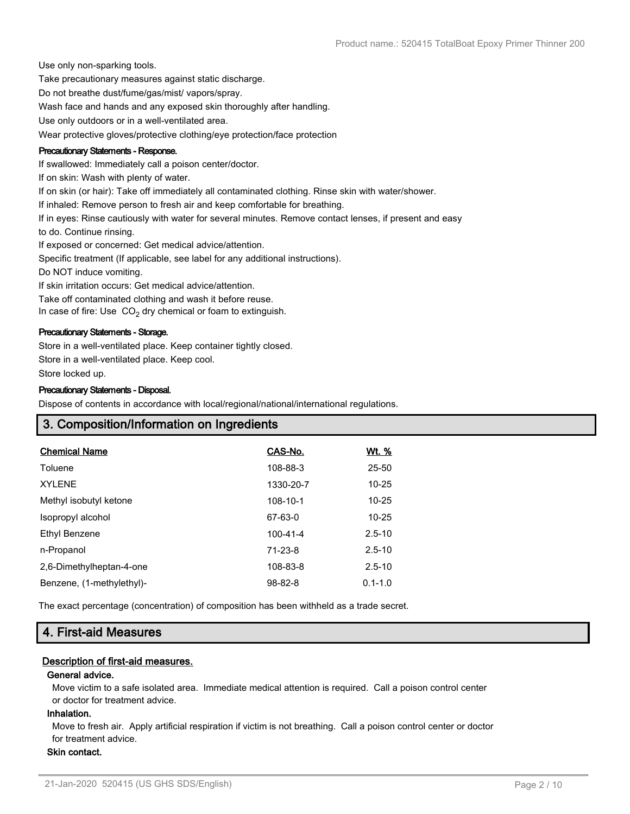Use only non-sparking tools.

Take precautionary measures against static discharge.

Do not breathe dust/fume/gas/mist/ vapors/spray.

Wash face and hands and any exposed skin thoroughly after handling.

Use only outdoors or in a well-ventilated area.

Wear protective gloves/protective clothing/eye protection/face protection

#### **Precautionary Statements - Response.**

If swallowed: Immediately call a poison center/doctor.

If on skin: Wash with plenty of water.

If on skin (or hair): Take off immediately all contaminated clothing. Rinse skin with water/shower.

If inhaled: Remove person to fresh air and keep comfortable for breathing.

If in eyes: Rinse cautiously with water for several minutes. Remove contact lenses, if present and easy

to do. Continue rinsing.

If exposed or concerned: Get medical advice/attention.

Specific treatment (If applicable, see label for any additional instructions).

Do NOT induce vomiting.

If skin irritation occurs: Get medical advice/attention.

Take off contaminated clothing and wash it before reuse.

In case of fire: Use  $CO<sub>2</sub>$  dry chemical or foam to extinguish.

#### **Precautionary Statements - Storage.**

Store in a well-ventilated place. Keep container tightly closed. Store in a well-ventilated place. Keep cool. Store locked up.

#### **Precautionary Statements - Disposal.**

Dispose of contents in accordance with local/regional/national/international regulations.

## **3. Composition/Information on Ingredients**

| CAS-No.       | <u>Wt. %</u> |
|---------------|--------------|
| 108-88-3      | 25-50        |
| 1330-20-7     | $10 - 25$    |
| 108-10-1      | $10 - 25$    |
| 67-63-0       | $10 - 25$    |
| 100-41-4      | $2.5 - 10$   |
| 71-23-8       | $2.5 - 10$   |
| 108-83-8      | $2.5 - 10$   |
| $98 - 82 - 8$ | $0.1 - 1.0$  |
|               |              |

The exact percentage (concentration) of composition has been withheld as a trade secret.

## **4. First-aid Measures**

### **Description of first-aid measures.**

#### **General advice.**

Move victim to a safe isolated area. Immediate medical attention is required. Call a poison control center or doctor for treatment advice.

#### **Inhalation.**

Move to fresh air. Apply artificial respiration if victim is not breathing. Call a poison control center or doctor for treatment advice.

### **Skin contact.**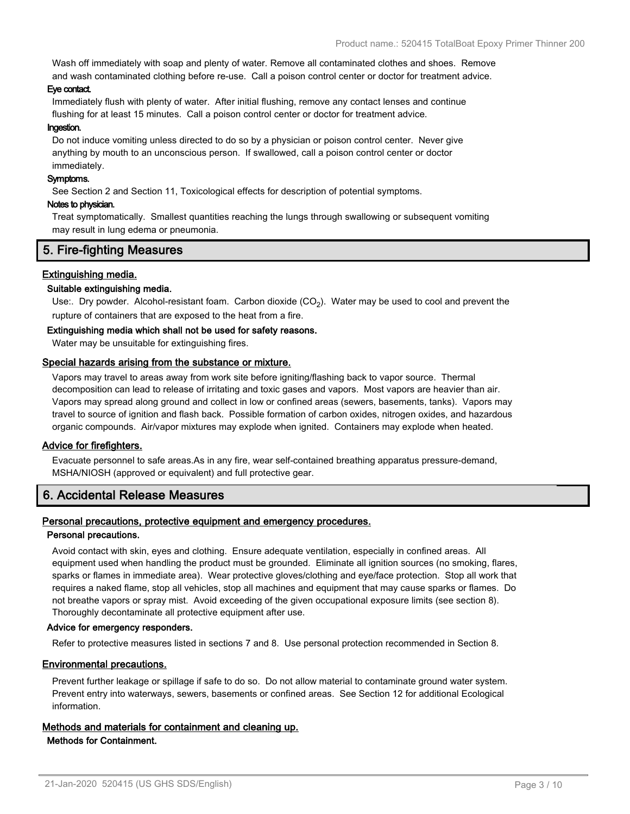Wash off immediately with soap and plenty of water. Remove all contaminated clothes and shoes. Remove and wash contaminated clothing before re-use. Call a poison control center or doctor for treatment advice.

#### **Eye contact.**

Immediately flush with plenty of water. After initial flushing, remove any contact lenses and continue flushing for at least 15 minutes. Call a poison control center or doctor for treatment advice.

#### **Ingestion.**

Do not induce vomiting unless directed to do so by a physician or poison control center. Never give anything by mouth to an unconscious person. If swallowed, call a poison control center or doctor immediately.

#### **Symptoms.**

See Section 2 and Section 11, Toxicological effects for description of potential symptoms.

#### **Notes to physician.**

Treat symptomatically. Smallest quantities reaching the lungs through swallowing or subsequent vomiting may result in lung edema or pneumonia.

## **5. Fire-fighting Measures**

## **Extinguishing media.**

### **Suitable extinguishing media.**

Use:. Dry powder. Alcohol-resistant foam. Carbon dioxide (CO<sub>2</sub>). Water may be used to cool and prevent the rupture of containers that are exposed to the heat from a fire.

#### **Extinguishing media which shall not be used for safety reasons.**

Water may be unsuitable for extinguishing fires.

#### **Special hazards arising from the substance or mixture.**

Vapors may travel to areas away from work site before igniting/flashing back to vapor source. Thermal decomposition can lead to release of irritating and toxic gases and vapors. Most vapors are heavier than air. Vapors may spread along ground and collect in low or confined areas (sewers, basements, tanks). Vapors may travel to source of ignition and flash back. Possible formation of carbon oxides, nitrogen oxides, and hazardous organic compounds. Air/vapor mixtures may explode when ignited. Containers may explode when heated.

### **Advice for firefighters.**

Evacuate personnel to safe areas.As in any fire, wear self-contained breathing apparatus pressure-demand, MSHA/NIOSH (approved or equivalent) and full protective gear.

## **6. Accidental Release Measures**

### **Personal precautions, protective equipment and emergency procedures.**

#### **Personal precautions.**

Avoid contact with skin, eyes and clothing. Ensure adequate ventilation, especially in confined areas. All equipment used when handling the product must be grounded. Eliminate all ignition sources (no smoking, flares, sparks or flames in immediate area). Wear protective gloves/clothing and eye/face protection. Stop all work that requires a naked flame, stop all vehicles, stop all machines and equipment that may cause sparks or flames. Do not breathe vapors or spray mist. Avoid exceeding of the given occupational exposure limits (see section 8). Thoroughly decontaminate all protective equipment after use.

#### **Advice for emergency responders.**

Refer to protective measures listed in sections 7 and 8. Use personal protection recommended in Section 8.

### **Environmental precautions.**

Prevent further leakage or spillage if safe to do so. Do not allow material to contaminate ground water system. Prevent entry into waterways, sewers, basements or confined areas. See Section 12 for additional Ecological information.

#### **Methods and materials for containment and cleaning up. Methods for Containment.**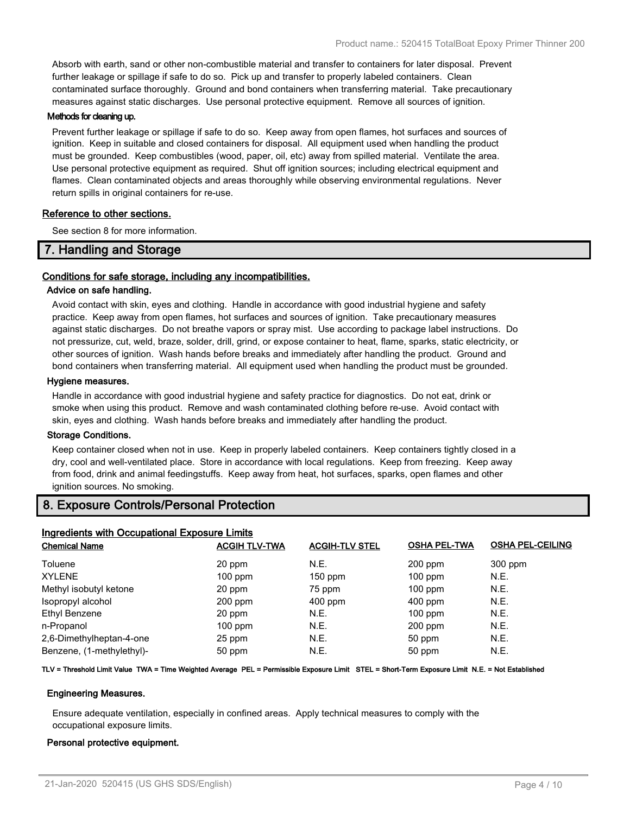Absorb with earth, sand or other non-combustible material and transfer to containers for later disposal. Prevent further leakage or spillage if safe to do so. Pick up and transfer to properly labeled containers. Clean contaminated surface thoroughly. Ground and bond containers when transferring material. Take precautionary measures against static discharges. Use personal protective equipment. Remove all sources of ignition.

#### **Methods for cleaning up.**

Prevent further leakage or spillage if safe to do so. Keep away from open flames, hot surfaces and sources of ignition. Keep in suitable and closed containers for disposal. All equipment used when handling the product must be grounded. Keep combustibles (wood, paper, oil, etc) away from spilled material. Ventilate the area. Use personal protective equipment as required. Shut off ignition sources; including electrical equipment and flames. Clean contaminated objects and areas thoroughly while observing environmental regulations. Never return spills in original containers for re-use.

#### **Reference to other sections.**

See section 8 for more information.

## **7. Handling and Storage**

### **Conditions for safe storage, including any incompatibilities.**

#### **Advice on safe handling.**

Avoid contact with skin, eyes and clothing. Handle in accordance with good industrial hygiene and safety practice. Keep away from open flames, hot surfaces and sources of ignition. Take precautionary measures against static discharges. Do not breathe vapors or spray mist. Use according to package label instructions. Do not pressurize, cut, weld, braze, solder, drill, grind, or expose container to heat, flame, sparks, static electricity, or other sources of ignition. Wash hands before breaks and immediately after handling the product. Ground and bond containers when transferring material. All equipment used when handling the product must be grounded.

#### **Hygiene measures.**

Handle in accordance with good industrial hygiene and safety practice for diagnostics. Do not eat, drink or smoke when using this product. Remove and wash contaminated clothing before re-use. Avoid contact with skin, eyes and clothing. Wash hands before breaks and immediately after handling the product.

#### **Storage Conditions.**

Keep container closed when not in use. Keep in properly labeled containers. Keep containers tightly closed in a dry, cool and well-ventilated place. Store in accordance with local regulations. Keep from freezing. Keep away from food, drink and animal feedingstuffs. Keep away from heat, hot surfaces, sparks, open flames and other ignition sources. No smoking.

## **8. Exposure Controls/Personal Protection**

| <b>OSHA PEL-CEILING</b> |
|-------------------------|
|                         |
| 300 ppm                 |
| N.E.                    |
| N.E.                    |
| N.E.                    |
| N.E.                    |
| N.E.                    |
| N.E.                    |
| N.E.                    |
|                         |

#### **TLV = Threshold Limit Value TWA = Time Weighted Average PEL = Permissible Exposure Limit STEL = Short-Term Exposure Limit N.E. = Not Established**

#### **Engineering Measures.**

Ensure adequate ventilation, especially in confined areas. Apply technical measures to comply with the occupational exposure limits.

#### **Personal protective equipment.**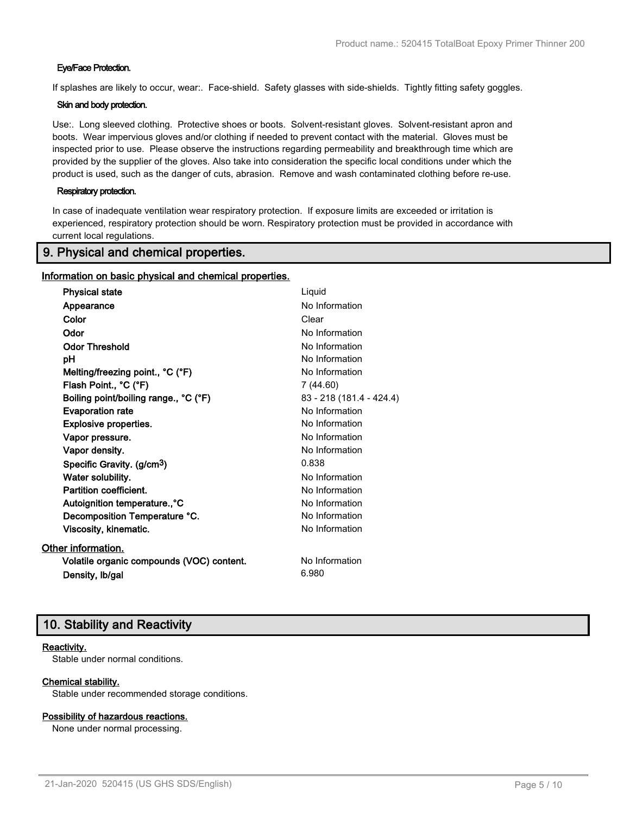### **Eye/Face Protection.**

If splashes are likely to occur, wear:. Face-shield. Safety glasses with side-shields. Tightly fitting safety goggles.

### **Skin and body protection.**

Use:. Long sleeved clothing. Protective shoes or boots. Solvent-resistant gloves. Solvent-resistant apron and boots. Wear impervious gloves and/or clothing if needed to prevent contact with the material. Gloves must be inspected prior to use. Please observe the instructions regarding permeability and breakthrough time which are provided by the supplier of the gloves. Also take into consideration the specific local conditions under which the product is used, such as the danger of cuts, abrasion. Remove and wash contaminated clothing before re-use.

#### **Respiratory protection.**

In case of inadequate ventilation wear respiratory protection. If exposure limits are exceeded or irritation is experienced, respiratory protection should be worn. Respiratory protection must be provided in accordance with current local regulations.

## **9. Physical and chemical properties.**

#### **Information on basic physical and chemical properties.**

| <b>Physical state</b>                     | Liquid                   |
|-------------------------------------------|--------------------------|
| Appearance                                | No Information           |
| Color                                     | Clear                    |
| Odor                                      | No Information           |
| <b>Odor Threshold</b>                     | No Information           |
| рH                                        | No Information           |
| Melting/freezing point., °C (°F)          | No Information           |
| Flash Point., °C (°F)                     | 7 (44.60)                |
| Boiling point/boiling range., °C (°F)     | 83 - 218 (181.4 - 424.4) |
| <b>Evaporation rate</b>                   | No Information           |
| <b>Explosive properties.</b>              | No Information           |
| Vapor pressure.                           | No Information           |
| Vapor density.                            | No Information           |
| Specific Gravity. (g/cm <sup>3</sup> )    | 0.838                    |
| Water solubility.                         | No Information           |
| Partition coefficient.                    | No Information           |
| Autoignition temperature., °C             | No Information           |
| Decomposition Temperature °C.             | No Information           |
| Viscosity, kinematic.                     | No Information           |
| Other information.                        |                          |
| Volatile organic compounds (VOC) content. | No Information           |
| Density, Ib/gal                           | 6.980                    |

## **10. Stability and Reactivity**

#### **Reactivity.**

Stable under normal conditions.

### **Chemical stability.**

Stable under recommended storage conditions.

#### **Possibility of hazardous reactions.**

None under normal processing.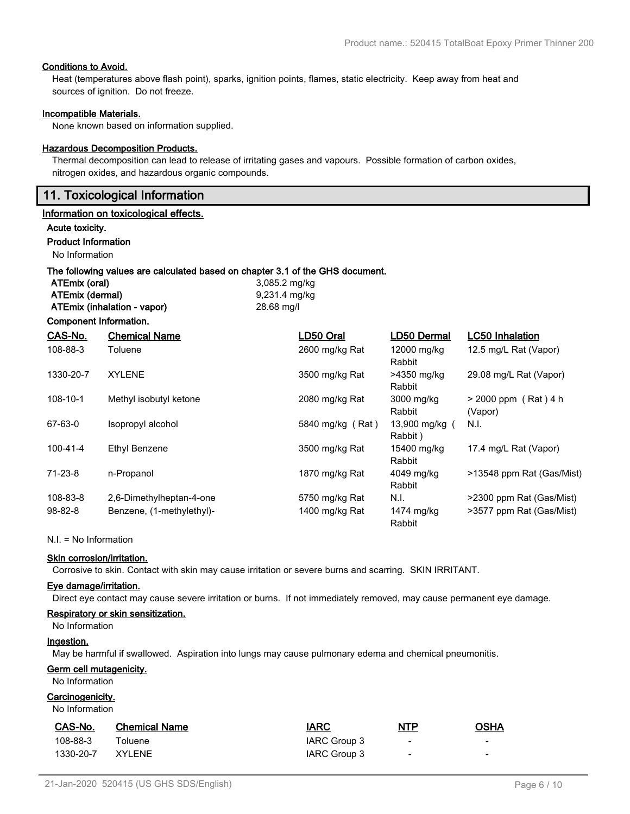### **Conditions to Avoid.**

Heat (temperatures above flash point), sparks, ignition points, flames, static electricity. Keep away from heat and sources of ignition. Do not freeze.

#### **Incompatible Materials.**

None known based on information supplied.

#### **Hazardous Decomposition Products.**

Thermal decomposition can lead to release of irritating gases and vapours. Possible formation of carbon oxides, nitrogen oxides, and hazardous organic compounds.

## **11. Toxicological Information**

#### **Information on toxicological effects.**

#### **Acute toxicity.**

#### **Product Information**

**Component Information.**

No Information

#### **The following values are calculated based on chapter 3.1 of the GHS document.**

| ATEmix (oral)               | 3,085.2 mg/kg |
|-----------------------------|---------------|
| ATEmix (dermal)             | 9,231.4 mg/kg |
| ATEmix (inhalation - vapor) | 28.68 mg/l    |

| CAS-No.        | <b>Chemical Name</b>      | LD50 Oral        | LD50 Dermal               | <b>LC50 Inhalation</b>            |
|----------------|---------------------------|------------------|---------------------------|-----------------------------------|
| 108-88-3       | Toluene                   | 2600 mg/kg Rat   | 12000 mg/kg<br>Rabbit     | 12.5 mg/L Rat (Vapor)             |
| 1330-20-7      | <b>XYLENE</b>             | 3500 mg/kg Rat   | >4350 mg/kg<br>Rabbit     | 29.08 mg/L Rat (Vapor)            |
| $108 - 10 - 1$ | Methyl isobutyl ketone    | 2080 mg/kg Rat   | 3000 mg/kg<br>Rabbit      | $> 2000$ ppm (Rat) 4 h<br>(Vapor) |
| 67-63-0        | Isopropyl alcohol         | 5840 mg/kg (Rat) | 13,900 mg/kg (<br>Rabbit) | N.I.                              |
| $100 - 41 - 4$ | Ethyl Benzene             | 3500 mg/kg Rat   | 15400 mg/kg<br>Rabbit     | 17.4 mg/L Rat (Vapor)             |
| $71 - 23 - 8$  | n-Propanol                | 1870 mg/kg Rat   | 4049 mg/kg<br>Rabbit      | >13548 ppm Rat (Gas/Mist)         |
| 108-83-8       | 2,6-Dimethylheptan-4-one  | 5750 mg/kg Rat   | N.I.                      | >2300 ppm Rat (Gas/Mist)          |
| $98 - 82 - 8$  | Benzene, (1-methylethyl)- | 1400 mg/kg Rat   | 1474 mg/kg<br>Rabbit      | >3577 ppm Rat (Gas/Mist)          |

N.I. = No Information

#### **Skin corrosion/irritation.**

Corrosive to skin. Contact with skin may cause irritation or severe burns and scarring. SKIN IRRITANT.

#### **Eye damage/irritation.**

Direct eye contact may cause severe irritation or burns. If not immediately removed, may cause permanent eye damage.

#### **Respiratory or skin sensitization.**

## No Information

#### **Ingestion.**

May be harmful if swallowed. Aspiration into lungs may cause pulmonary edema and chemical pneumonitis.

#### **Germ cell mutagenicity.**

No Information

## **Carcinogenicity.**

No Information

| CAS-No.   | <b>Chemical Name</b> | <b>IARC</b>  | <u>NTP</u>               | <b>OSHA</b> |
|-----------|----------------------|--------------|--------------------------|-------------|
| 108-88-3  | Toluene              | IARC Group 3 | $\overline{\phantom{a}}$ | $\sim$      |
| 1330-20-7 | XYI FNF              | IARC Group 3 | $\overline{\phantom{a}}$ | $\sim$      |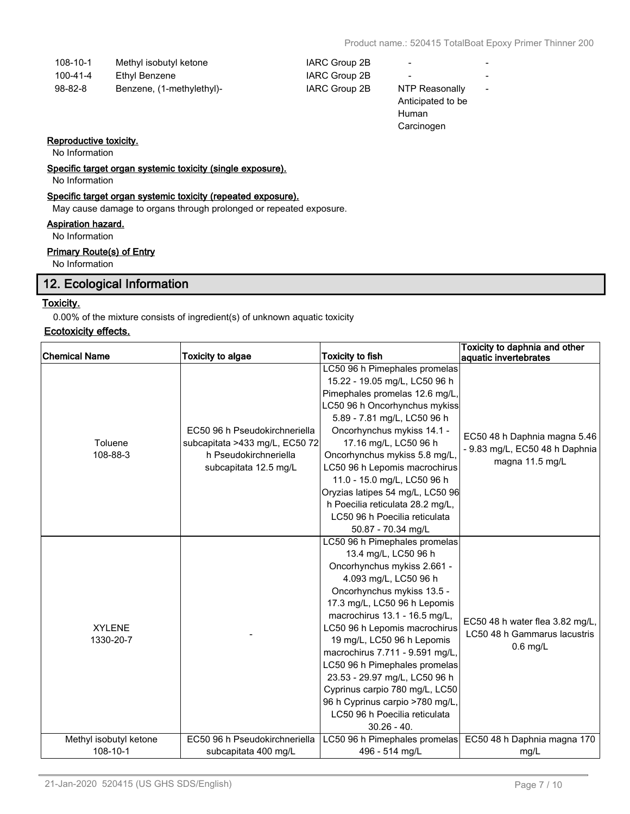-

| 108-10-1 | Methyl isobutyl ketone | IARC Group 2B |
|----------|------------------------|---------------|
| 100-41-4 | Ethyl Benzene          | IARC Group 2B |

98-82-8 Benzene, (1-methylethyl)- IARC Group 2B NTP Reasonally

- 1ARC Group 2B -
- 
- Anticipated to be Human Carcinogen

### **Reproductive toxicity.**

No Information

**Specific target organ systemic toxicity (single exposure).**

No Information

### **Specific target organ systemic toxicity (repeated exposure).**

May cause damage to organs through prolonged or repeated exposure.

#### **Aspiration hazard.**

No Information

## **Primary Route(s) of Entry**

No Information

## **12. Ecological Information**

## **Toxicity.**

0.00% of the mixture consists of ingredient(s) of unknown aquatic toxicity

### **Ecotoxicity effects.**

| <b>Chemical Name</b>       | <b>Toxicity to algae</b>                                                                                          | <b>Toxicity to fish</b>                                                                                                                                                                                                                                                                                                                                                                                                                                                                                 | Toxicity to daphnia and other<br>aquatic invertebrates                            |
|----------------------------|-------------------------------------------------------------------------------------------------------------------|---------------------------------------------------------------------------------------------------------------------------------------------------------------------------------------------------------------------------------------------------------------------------------------------------------------------------------------------------------------------------------------------------------------------------------------------------------------------------------------------------------|-----------------------------------------------------------------------------------|
| Toluene<br>108-88-3        | EC50 96 h Pseudokirchneriella<br>subcapitata >433 mg/L, EC50 72<br>h Pseudokirchneriella<br>subcapitata 12.5 mg/L | LC50 96 h Pimephales promelas<br>15.22 - 19.05 mg/L, LC50 96 h<br>Pimephales promelas 12.6 mg/L,<br>LC50 96 h Oncorhynchus mykiss<br>5.89 - 7.81 mg/L, LC50 96 h<br>Oncorhynchus mykiss 14.1 -<br>17.16 mg/L, LC50 96 h<br>Oncorhynchus mykiss 5.8 mg/L,<br>LC50 96 h Lepomis macrochirus<br>11.0 - 15.0 mg/L, LC50 96 h<br>Oryzias latipes 54 mg/L, LC50 96<br>h Poecilia reticulata 28.2 mg/L,<br>LC50 96 h Poecilia reticulata<br>50.87 - 70.34 mg/L                                                 | EC50 48 h Daphnia magna 5.46<br>- 9.83 mg/L, EC50 48 h Daphnia<br>magna 11.5 mg/L |
| <b>XYLENE</b><br>1330-20-7 |                                                                                                                   | LC50 96 h Pimephales promelas<br>13.4 mg/L, LC50 96 h<br>Oncorhynchus mykiss 2.661 -<br>4.093 mg/L, LC50 96 h<br>Oncorhynchus mykiss 13.5 -<br>17.3 mg/L, LC50 96 h Lepomis<br>macrochirus 13.1 - 16.5 mg/L,<br>LC50 96 h Lepomis macrochirus<br>19 mg/L, LC50 96 h Lepomis<br>macrochirus 7.711 - 9.591 mg/L,<br>LC50 96 h Pimephales promelas<br>23.53 - 29.97 mg/L, LC50 96 h<br>Cyprinus carpio 780 mg/L, LC50<br>96 h Cyprinus carpio >780 mg/L,<br>LC50 96 h Poecilia reticulata<br>$30.26 - 40.$ | EC50 48 h water flea 3.82 mg/L,<br>LC50 48 h Gammarus lacustris<br>$0.6$ mg/L     |
| Methyl isobutyl ketone     | EC50 96 h Pseudokirchneriella                                                                                     | LC50 96 h Pimephales promelas                                                                                                                                                                                                                                                                                                                                                                                                                                                                           | EC50 48 h Daphnia magna 170                                                       |
| $108 - 10 - 1$             | subcapitata 400 mg/L                                                                                              | 496 - 514 mg/L                                                                                                                                                                                                                                                                                                                                                                                                                                                                                          | mg/L                                                                              |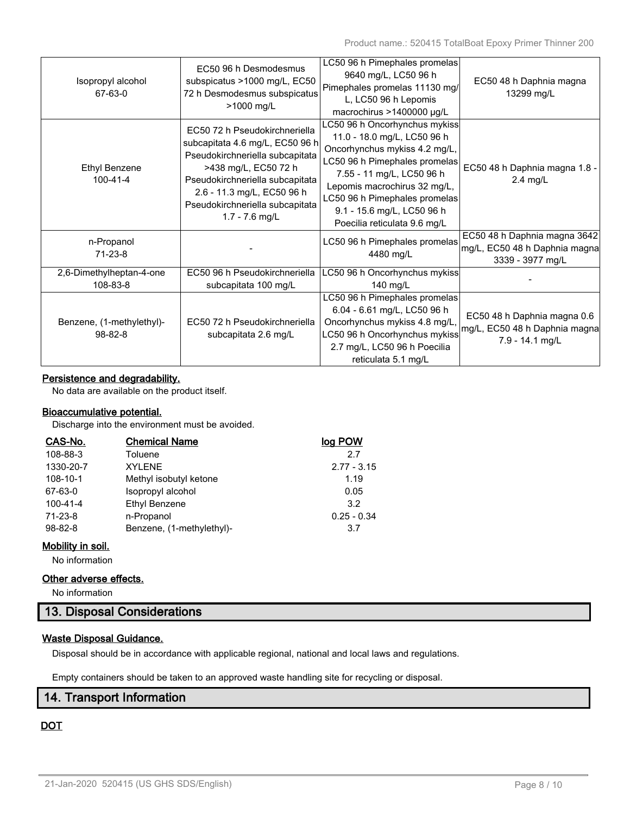| Isopropyl alcohol<br>67-63-0               | EC50 96 h Desmodesmus<br>subspicatus >1000 mg/L, EC50<br>72 h Desmodesmus subspicatus<br>>1000 mg/L                                                                                                                                                 | LC50 96 h Pimephales promelas<br>9640 mg/L, LC50 96 h<br>Pimephales promelas 11130 mg/<br>L, LC50 96 h Lepomis<br>macrochirus >1400000 µg/L                                                                                                                                                | EC50 48 h Daphnia magna<br>13299 mg/L                                             |
|--------------------------------------------|-----------------------------------------------------------------------------------------------------------------------------------------------------------------------------------------------------------------------------------------------------|--------------------------------------------------------------------------------------------------------------------------------------------------------------------------------------------------------------------------------------------------------------------------------------------|-----------------------------------------------------------------------------------|
| <b>Ethyl Benzene</b><br>$100 - 41 - 4$     | EC50 72 h Pseudokirchneriella<br>subcapitata 4.6 mg/L, EC50 96 h<br>Pseudokirchneriella subcapitata<br>>438 mg/L, EC50 72 h<br>Pseudokirchneriella subcapitata<br>2.6 - 11.3 mg/L, EC50 96 h<br>Pseudokirchneriella subcapitata<br>$1.7 - 7.6$ mg/L | LC50 96 h Oncorhynchus mykiss<br>11.0 - 18.0 mg/L, LC50 96 h<br>Oncorhynchus mykiss 4.2 mg/L,<br>LC50 96 h Pimephales promelas<br>7.55 - 11 mg/L, LC50 96 h<br>Lepomis macrochirus 32 mg/L,<br>LC50 96 h Pimephales promelas<br>9.1 - 15.6 mg/L, LC50 96 h<br>Poecilia reticulata 9.6 mg/L | EC50 48 h Daphnia magna 1.8 -<br>2.4 mg/L                                         |
| n-Propanol<br>$71 - 23 - 8$                |                                                                                                                                                                                                                                                     | LC50 96 h Pimephales promelas<br>4480 mg/L                                                                                                                                                                                                                                                 | EC50 48 h Daphnia magna 3642<br>mg/L, EC50 48 h Daphnia magna<br>3339 - 3977 mg/L |
| 2,6-Dimethylheptan-4-one<br>108-83-8       | EC50 96 h Pseudokirchneriella<br>subcapitata 100 mg/L                                                                                                                                                                                               | LC50 96 h Oncorhynchus mykiss<br>140 mg/L                                                                                                                                                                                                                                                  |                                                                                   |
| Benzene, (1-methylethyl)-<br>$98 - 82 - 8$ | EC50 72 h Pseudokirchneriella<br>subcapitata 2.6 mg/L                                                                                                                                                                                               | LC50 96 h Pimephales promelas<br>6.04 - 6.61 mg/L, LC50 96 h<br>Oncorhynchus mykiss 4.8 mg/L,<br>LC50 96 h Oncorhynchus mykiss<br>2.7 mg/L, LC50 96 h Poecilia<br>reticulata 5.1 mg/L                                                                                                      | EC50 48 h Daphnia magna 0.6<br>mg/L, EC50 48 h Daphnia magna<br>7.9 - 14.1 mg/L   |

## **Persistence and degradability.**

No data are available on the product itself.

## **Bioaccumulative potential.**

Discharge into the environment must be avoided.

| CAS-No.        | <b>Chemical Name</b>      | log POW       |
|----------------|---------------------------|---------------|
| 108-88-3       | Toluene                   | 2.7           |
| 1330-20-7      | <b>XYLENE</b>             | $2.77 - 3.15$ |
| 108-10-1       | Methyl isobutyl ketone    | 1.19          |
| 67-63-0        | Isopropyl alcohol         | 0.05          |
| $100 - 41 - 4$ | Ethyl Benzene             | 3.2           |
| 71-23-8        | n-Propanol                | $0.25 - 0.34$ |
| $98 - 82 - 8$  | Benzene, (1-methylethyl)- | 3.7           |

## **Mobility in soil.**

No information

### **Other adverse effects.**

No information

## **13. Disposal Considerations**

## **Waste Disposal Guidance.**

Disposal should be in accordance with applicable regional, national and local laws and regulations.

Empty containers should be taken to an approved waste handling site for recycling or disposal.

## **14. Transport Information**

## **DOT**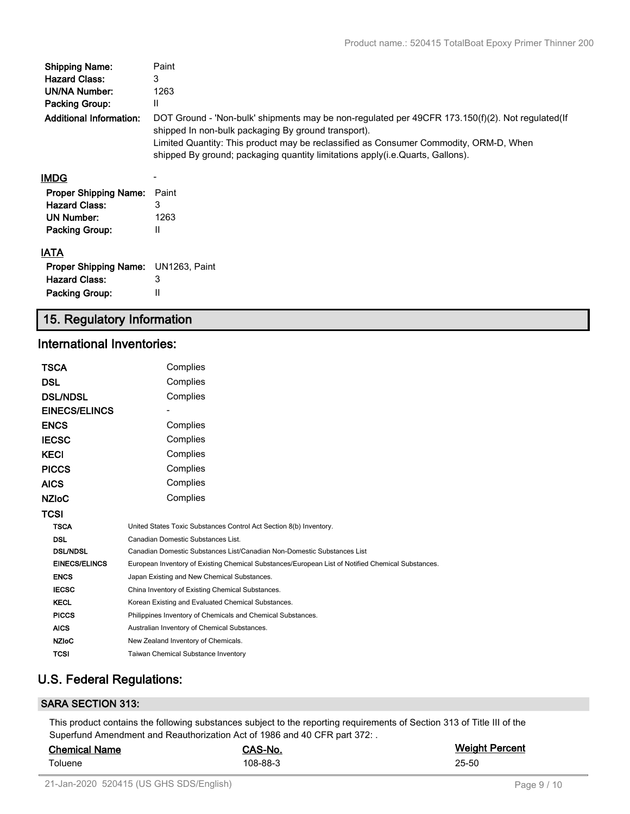| <b>Shipping Name:</b>          | Paint                                                                                                                                                                                                                                            |
|--------------------------------|--------------------------------------------------------------------------------------------------------------------------------------------------------------------------------------------------------------------------------------------------|
| <b>Hazard Class:</b>           | 3                                                                                                                                                                                                                                                |
| <b>UN/NA Number:</b>           | 1263                                                                                                                                                                                                                                             |
| <b>Packing Group:</b>          | Ш                                                                                                                                                                                                                                                |
| <b>Additional Information:</b> | DOT Ground - 'Non-bulk' shipments may be non-regulated per 49CFR 173.150(f)(2). Not regulated(If<br>shipped In non-bulk packaging By ground transport).<br>Limited Quantity: This product may be reclassified as Consumer Commodity, ORM-D, When |
|                                | shipped By ground; packaging quantity limitations apply(i.e. Quarts, Gallons).                                                                                                                                                                   |
| <b>IMDG</b>                    |                                                                                                                                                                                                                                                  |
| <b>Proper Shipping Name:</b>   | Paint                                                                                                                                                                                                                                            |
| <b>Hazard Class:</b>           | 3                                                                                                                                                                                                                                                |
| UN Number:                     | 1263                                                                                                                                                                                                                                             |
| <b>Packing Group:</b>          | Ш                                                                                                                                                                                                                                                |
| <b>IATA</b>                    |                                                                                                                                                                                                                                                  |
| <b>Proper Shipping Name:</b>   | UN1263, Paint                                                                                                                                                                                                                                    |
| <b>Hazard Class:</b>           | 3                                                                                                                                                                                                                                                |

## **15. Regulatory Information**

## **International Inventories:**

Packing Group: II

| TSCA                 | Complies                                                                                          |  |  |
|----------------------|---------------------------------------------------------------------------------------------------|--|--|
| DSL                  | Complies                                                                                          |  |  |
| <b>DSL/NDSL</b>      | Complies                                                                                          |  |  |
| <b>EINECS/ELINCS</b> |                                                                                                   |  |  |
| <b>ENCS</b>          | Complies                                                                                          |  |  |
| <b>IECSC</b>         | Complies                                                                                          |  |  |
| <b>KECI</b>          | Complies                                                                                          |  |  |
| <b>PICCS</b>         | Complies                                                                                          |  |  |
| <b>AICS</b>          | Complies                                                                                          |  |  |
| <b>NZIoC</b>         | Complies                                                                                          |  |  |
| TCSI                 |                                                                                                   |  |  |
| <b>TSCA</b>          | United States Toxic Substances Control Act Section 8(b) Inventory.                                |  |  |
| <b>DSL</b>           | Canadian Domestic Substances List.                                                                |  |  |
| <b>DSL/NDSL</b>      | Canadian Domestic Substances List/Canadian Non-Domestic Substances List                           |  |  |
| <b>EINECS/ELINCS</b> | European Inventory of Existing Chemical Substances/European List of Notified Chemical Substances. |  |  |
| <b>ENCS</b>          | Japan Existing and New Chemical Substances.                                                       |  |  |
| <b>IECSC</b>         | China Inventory of Existing Chemical Substances.                                                  |  |  |
| <b>KECL</b>          | Korean Existing and Evaluated Chemical Substances.                                                |  |  |
| <b>PICCS</b>         | Philippines Inventory of Chemicals and Chemical Substances.                                       |  |  |
| <b>AICS</b>          | Australian Inventory of Chemical Substances.                                                      |  |  |
| <b>NZIoC</b>         | New Zealand Inventory of Chemicals.                                                               |  |  |
| TCSI                 | <b>Taiwan Chemical Substance Inventory</b>                                                        |  |  |

## **U.S. Federal Regulations:**

## **SARA SECTION 313:**

This product contains the following substances subject to the reporting requirements of Section 313 of Title III of the Superfund Amendment and Reauthorization Act of 1986 and 40 CFR part 372: .

| <b>Chemical Name</b> | CAS-No.  | <b>Weight Percent</b> |
|----------------------|----------|-----------------------|
| Toluene              | 108-88-3 | 25-50                 |